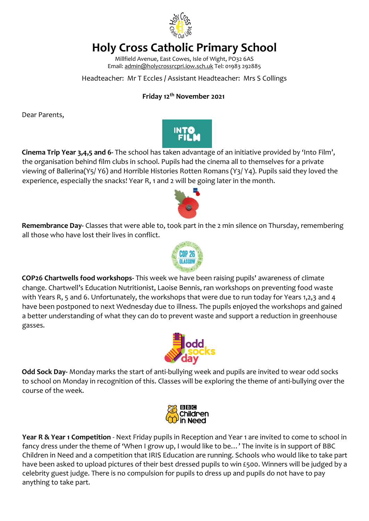

# **Holy Cross Catholic Primary School**

Millfield Avenue, East Cowes, Isle of Wight, PO32 6AS Email: admin@holycrossrcpri.iow.sch.uk Tel: 01983 292885

### Headteacher: Mr T Eccles **/** Assistant Headteacher: Mrs S Collings

### **Friday 12th November 2021**

Dear Parents,



**Cinema Trip Year 3,4,5 and 6-** The school has taken advantage of an initiative provided by 'Into Film', the organisation behind film clubs in school. Pupils had the cinema all to themselves for a private viewing of Ballerina(Y5/ Y6) and Horrible Histories Rotten Romans (Y3/ Y4). Pupils said they loved the experience, especially the snacks! Year R, 1 and 2 will be going later in the month.



**Remembrance Day-** Classes that were able to, took part in the 2 min silence on Thursday, remembering all those who have lost their lives in conflict.



**COP26 Chartwells food workshops-** This week we have been raising pupils' awareness of climate change. Chartwell's Education Nutritionist, Laoise Bennis, ran workshops on preventing food waste with Years R, 5 and 6. Unfortunately, the workshops that were due to run today for Years 1,2,3 and 4 have been postponed to next Wednesday due to illness. The pupils enjoyed the workshops and gained a better understanding of what they can do to prevent waste and support a reduction in greenhouse gasses.



**Odd Sock Day-** Monday marks the start of anti-bullying week and pupils are invited to wear odd socks to school on Monday in recognition of this. Classes will be exploring the theme of anti-bullying over the course of the week.



**Year R & Year 1 Competition** - Next Friday pupils in Reception and Year 1 are invited to come to school in fancy dress under the theme of 'When I grow up, I would like to be…' The invite is in support of BBC Children in Need and a competition that IRIS Education are running. Schools who would like to take part have been asked to upload pictures of their best dressed pupils to win £500. Winners will be judged by a celebrity guest judge. There is no compulsion for pupils to dress up and pupils do not have to pay anything to take part.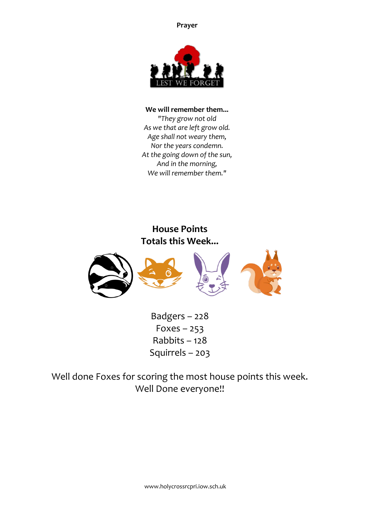**Prayer**



#### **We will remember them...**

*"They grow not old As we that are left grow old. Age shall not weary them, Nor the years condemn. At the going down of the sun, And in the morning, We will remember them."*

# **House Points Totals this Week...**



Badgers – 228  $Foxes - 253$ Rabbits – 128 Squirrels – 203

Well done Foxes for scoring the most house points this week. Well Done everyone!!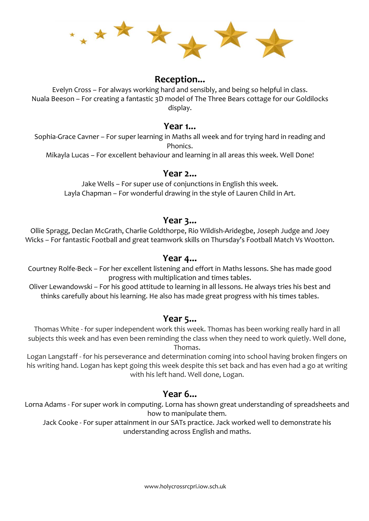

## **Reception...**

Evelyn Cross – For always working hard and sensibly, and being so helpful in class. Nuala Beeson – For creating a fantastic 3D model of The Three Bears cottage for our Goldilocks display.

### **Year 1...**

Sophia-Grace Cavner – For super learning in Maths all week and for trying hard in reading and Phonics.

Mikayla Lucas – For excellent behaviour and learning in all areas this week. Well Done!

### **Year 2...**

Jake Wells – For super use of conjunctions in English this week. Layla Chapman – For wonderful drawing in the style of Lauren Child in Art.

## **Year 3...**

Ollie Spragg, Declan McGrath, Charlie Goldthorpe, Rio Wildish-Aridegbe, Joseph Judge and Joey Wicks – For fantastic Football and great teamwork skills on Thursday's Football Match Vs Wootton.

# **Year 4...**

Courtney Rolfe-Beck – For her excellent listening and effort in Maths lessons. She has made good progress with multiplication and times tables.

Oliver Lewandowski – For his good attitude to learning in all lessons. He always tries his best and thinks carefully about his learning. He also has made great progress with his times tables.

### **Year 5...**

Thomas White - for super independent work this week. Thomas has been working really hard in all subjects this week and has even been reminding the class when they need to work quietly. Well done, Thomas.

Logan Langstaff - for his perseverance and determination coming into school having broken fingers on his writing hand. Logan has kept going this week despite this set back and has even had a go at writing with his left hand. Well done, Logan.

# **Year 6...**

Lorna Adams - For super work in computing. Lorna has shown great understanding of spreadsheets and how to manipulate them.

Jack Cooke - For super attainment in our SATs practice. Jack worked well to demonstrate his understanding across English and maths.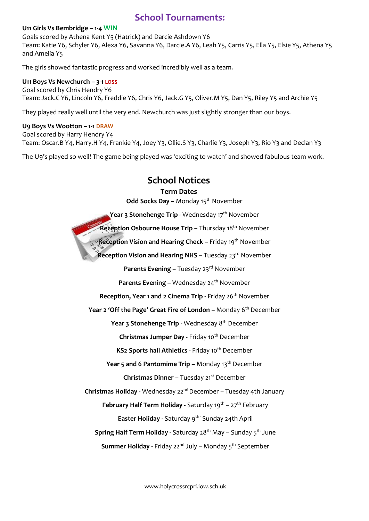# **School Tournaments:**

#### **U11 Girls Vs Bembridge – 1-4 WIN**

Goals scored by Athena Kent Y5 (Hatrick) and Darcie Ashdown Y6 Team: Katie Y6, Schyler Y6, Alexa Y6, Savanna Y6, Darcie.A Y6, Leah Y5, Carris Y5, Ella Y5, Elsie Y5, Athena Y5 and Amelia Y5

The girls showed fantastic progress and worked incredibly well as a team.

#### **U11 Boys Vs Newchurch – 3-1 LOSS**

Goal scored by Chris Hendry Y6 Team: Jack.C Y6, Lincoln Y6, Freddie Y6, Chris Y6, Jack.G Y5, Oliver.M Y5, Dan Y5, Riley Y5 and Archie Y5

They played really well until the very end. Newchurch was just slightly stronger than our boys.

#### **U9 Boys Vs Wootton – 1-1 DRAW**

Goal scored by Harry Hendry Y4 Team: Oscar.B Y4, Harry.H Y4, Frankie Y4, Joey Y3, Ollie.S Y3, Charlie Y3, Joseph Y3, Rio Y3 and Declan Y3

The U9's played so well! The game being played was 'exciting to watch' and showed fabulous team work.

# **School Notices**

#### **Term Dates**

**Odd Socks Day -** Monday 15<sup>th</sup> November

**Year 3 Stonehenge Trip -** Wednesday 17<sup>th</sup> November

**Reception Osbourne House Trip –** Thursday 18th November

**Reception Vision and Hearing Check –** Friday 19<sup>th</sup> November

**Reception Vision and Hearing NHS - Tuesday 23<sup>rd</sup> November** 

**Parents Evening –** Tuesday 23<sup>rd</sup> November

**Parents Evening –** Wednesday 24<sup>th</sup> November

**Reception, Year 1 and 2 Cinema Trip - Friday 26<sup>th</sup> November** 

Year 2 'Off the Page' Great Fire of London - Monday 6<sup>th</sup> December

**Year 3 Stonehenge Trip** - Wednesday 8 th December

**Christmas Jumper Day - Friday 10<sup>th</sup> December** 

**KS2 Sports hall Athletics - Friday 10<sup>th</sup> December** 

**Year 5 and 6 Pantomime Trip –** Monday 13<sup>th</sup> December

**Christmas Dinner –** Tuesday 21st December

**Christmas Holiday -** Wednesday 22nd December – Tuesday 4th January

**February Half Term Holiday -** Saturday 19<sup>th</sup> – 27<sup>th</sup> February

**Easter Holiday - Saturday 9<sup>th</sup> - Sunday 24th April** 

**Spring Half Term Holiday -** Saturday 28<sup>th</sup> May – Sunday 5<sup>th</sup> June

**Summer Holiday -** Friday 22<sup>nd</sup> July – Monday 5<sup>th</sup> September

www.holycrossrcpri.iow.sch.uk